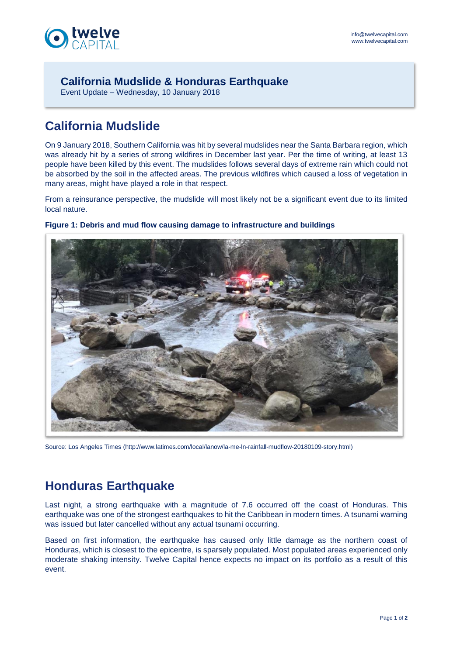

## **California Mudslide & Honduras Earthquake**

Event Update – Wednesday, 10 January 2018

# **California Mudslide**

On 9 January 2018, Southern California was hit by several mudslides near the Santa Barbara region, which was already hit by a series of strong wildfires in December last year. Per the time of writing, at least 13 people have been killed by this event. The mudslides follows several days of extreme rain which could not be absorbed by the soil in the affected areas. The previous wildfires which caused a loss of vegetation in many areas, might have played a role in that respect.

From a reinsurance perspective, the mudslide will most likely not be a significant event due to its limited local nature.



### **Figure 1: Debris and mud flow causing damage to infrastructure and buildings**

Source: Los Angeles Times (http://www.latimes.com/local/lanow/la-me-ln-rainfall-mudflow-20180109-story.html)

## **Honduras Earthquake**

Last night, a strong earthquake with a magnitude of 7.6 occurred off the coast of Honduras. This earthquake was one of the strongest earthquakes to hit the Caribbean in modern times. A tsunami warning was issued but later cancelled without any actual tsunami occurring.

Based on first information, the earthquake has caused only little damage as the northern coast of Honduras, which is closest to the epicentre, is sparsely populated. Most populated areas experienced only moderate shaking intensity. Twelve Capital hence expects no impact on its portfolio as a result of this event.